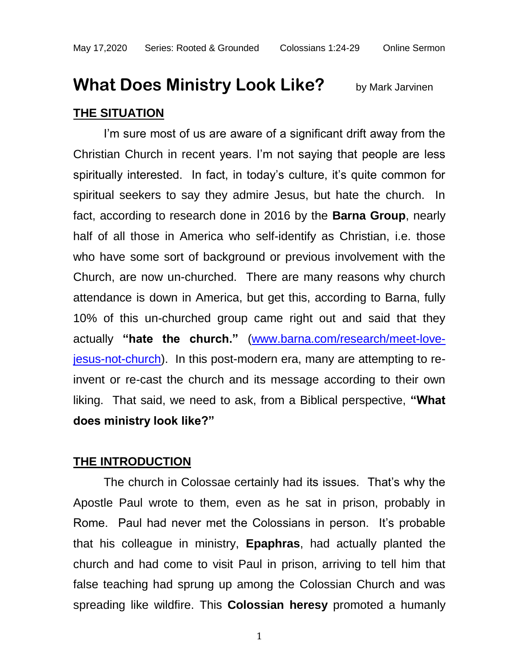## **What Does Ministry Look Like?** by Mark Jarvinen **THE SITUATION**

I'm sure most of us are aware of a significant drift away from the Christian Church in recent years. I'm not saying that people are less spiritually interested. In fact, in today's culture, it's quite common for spiritual seekers to say they admire Jesus, but hate the church. In fact, according to research done in 2016 by the **Barna Group**, nearly half of all those in America who self-identify as Christian, i.e. those who have some sort of background or previous involvement with the Church, are now un-churched. There are many reasons why church attendance is down in America, but get this, according to Barna, fully 10% of this un-churched group came right out and said that they actually **"hate the church."** [\(www.barna.com/research/meet-love](http://www.barna.com/research/meet-love-jesus-not-church)[jesus-not-church\)](http://www.barna.com/research/meet-love-jesus-not-church). In this post-modern era, many are attempting to reinvent or re-cast the church and its message according to their own liking. That said, we need to ask, from a Biblical perspective, **"What does ministry look like?"**

## **THE INTRODUCTION**

The church in Colossae certainly had its issues. That's why the Apostle Paul wrote to them, even as he sat in prison, probably in Rome. Paul had never met the Colossians in person. It's probable that his colleague in ministry, **Epaphras**, had actually planted the church and had come to visit Paul in prison, arriving to tell him that false teaching had sprung up among the Colossian Church and was spreading like wildfire. This **Colossian heresy** promoted a humanly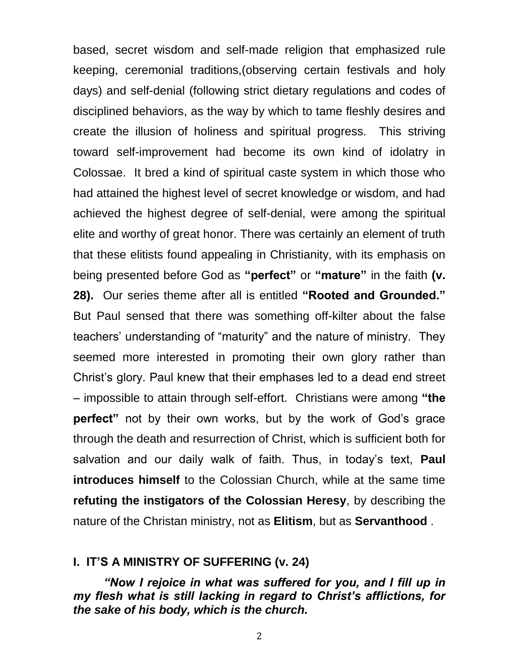based, secret wisdom and self-made religion that emphasized rule keeping, ceremonial traditions,(observing certain festivals and holy days) and self-denial (following strict dietary regulations and codes of disciplined behaviors, as the way by which to tame fleshly desires and create the illusion of holiness and spiritual progress. This striving toward self-improvement had become its own kind of idolatry in Colossae. It bred a kind of spiritual caste system in which those who had attained the highest level of secret knowledge or wisdom, and had achieved the highest degree of self-denial, were among the spiritual elite and worthy of great honor. There was certainly an element of truth that these elitists found appealing in Christianity, with its emphasis on being presented before God as **"perfect"** or **"mature"** in the faith **(v. 28).** Our series theme after all is entitled **"Rooted and Grounded."** But Paul sensed that there was something off-kilter about the false teachers' understanding of "maturity" and the nature of ministry. They seemed more interested in promoting their own glory rather than Christ's glory. Paul knew that their emphases led to a dead end street – impossible to attain through self-effort. Christians were among **"the perfect"** not by their own works, but by the work of God's grace through the death and resurrection of Christ, which is sufficient both for salvation and our daily walk of faith. Thus, in today's text, **Paul introduces himself** to the Colossian Church, while at the same time **refuting the instigators of the Colossian Heresy**, by describing the nature of the Christan ministry, not as **Elitism**, but as **Servanthood** .

## **I. IT'S A MINISTRY OF SUFFERING (v. 24)**

*"Now I rejoice in what was suffered for you, and I fill up in my flesh what is still lacking in regard to Christ's afflictions, for the sake of his body, which is the church.*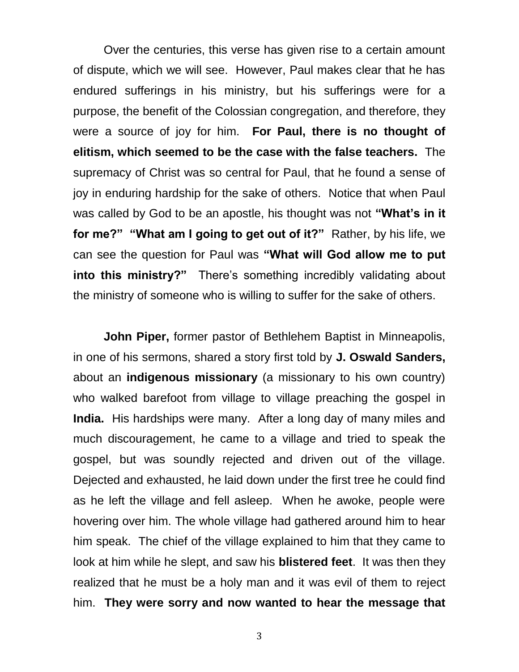Over the centuries, this verse has given rise to a certain amount of dispute, which we will see. However, Paul makes clear that he has endured sufferings in his ministry, but his sufferings were for a purpose, the benefit of the Colossian congregation, and therefore, they were a source of joy for him. **For Paul, there is no thought of elitism, which seemed to be the case with the false teachers.** The supremacy of Christ was so central for Paul, that he found a sense of joy in enduring hardship for the sake of others. Notice that when Paul was called by God to be an apostle, his thought was not **"What's in it for me?" "What am I going to get out of it?"** Rather, by his life, we can see the question for Paul was **"What will God allow me to put into this ministry?"** There's something incredibly validating about the ministry of someone who is willing to suffer for the sake of others.

**John Piper,** former pastor of Bethlehem Baptist in Minneapolis, in one of his sermons, shared a story first told by **J. Oswald Sanders,** about an **indigenous missionary** (a missionary to his own country) who walked barefoot from village to village preaching the gospel in **India.** His hardships were many. After a long day of many miles and much discouragement, he came to a village and tried to speak the gospel, but was soundly rejected and driven out of the village. Dejected and exhausted, he laid down under the first tree he could find as he left the village and fell asleep. When he awoke, people were hovering over him. The whole village had gathered around him to hear him speak. The chief of the village explained to him that they came to look at him while he slept, and saw his **blistered feet**. It was then they realized that he must be a holy man and it was evil of them to reject him. **They were sorry and now wanted to hear the message that**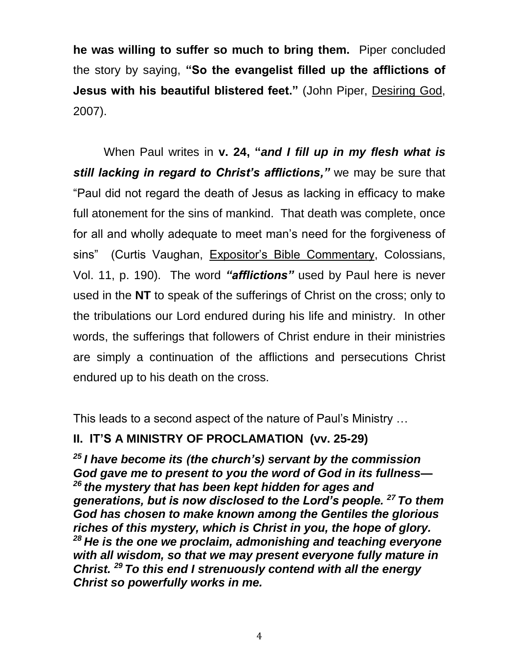**he was willing to suffer so much to bring them.** Piper concluded the story by saying, **"So the evangelist filled up the afflictions of Jesus with his beautiful blistered feet."** (John Piper, Desiring God, 2007).

When Paul writes in **v. 24, "***and I fill up in my flesh what is still lacking in regard to Christ's afflictions,"* we may be sure that "Paul did not regard the death of Jesus as lacking in efficacy to make full atonement for the sins of mankind. That death was complete, once for all and wholly adequate to meet man's need for the forgiveness of sins" (Curtis Vaughan, Expositor's Bible Commentary, Colossians, Vol. 11, p. 190). The word *"afflictions"* used by Paul here is never used in the **NT** to speak of the sufferings of Christ on the cross; only to the tribulations our Lord endured during his life and ministry. In other words, the sufferings that followers of Christ endure in their ministries are simply a continuation of the afflictions and persecutions Christ endured up to his death on the cross.

This leads to a second aspect of the nature of Paul's Ministry …

## **II. IT'S A MINISTRY OF PROCLAMATION (vv. 25-29)**

*<sup>25</sup> I have become its (the church's) servant by the commission God gave me to present to you the word of God in its fullness— <sup>26</sup> the mystery that has been kept hidden for ages and generations, but is now disclosed to the Lord's people. <sup>27</sup> To them God has chosen to make known among the Gentiles the glorious riches of this mystery, which is Christ in you, the hope of glory. <sup>28</sup> He is the one we proclaim, admonishing and teaching everyone with all wisdom, so that we may present everyone fully mature in Christ. <sup>29</sup> To this end I strenuously contend with all the energy Christ so powerfully works in me.*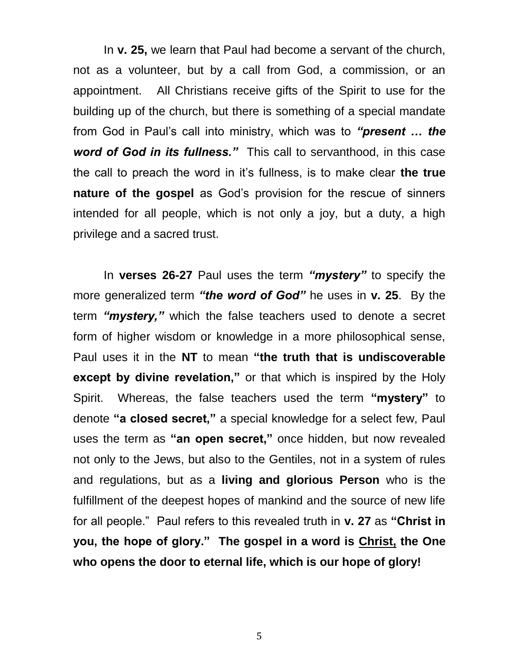In **v. 25,** we learn that Paul had become a servant of the church, not as a volunteer, but by a call from God, a commission, or an appointment. All Christians receive gifts of the Spirit to use for the building up of the church, but there is something of a special mandate from God in Paul's call into ministry, which was to *"present … the word of God in its fullness."* This call to servanthood, in this case the call to preach the word in it's fullness, is to make clear **the true nature of the gospel** as God's provision for the rescue of sinners intended for all people, which is not only a joy, but a duty, a high privilege and a sacred trust.

In **verses 26-27** Paul uses the term *"mystery"* to specify the more generalized term *"the word of God"* he uses in **v. 25**. By the term *"mystery,"* which the false teachers used to denote a secret form of higher wisdom or knowledge in a more philosophical sense, Paul uses it in the **NT** to mean **"the truth that is undiscoverable except by divine revelation,"** or that which is inspired by the Holy Spirit. Whereas, the false teachers used the term **"mystery"** to denote **"a closed secret,"** a special knowledge for a select few, Paul uses the term as **"an open secret,"** once hidden, but now revealed not only to the Jews, but also to the Gentiles, not in a system of rules and regulations, but as a **living and glorious Person** who is the fulfillment of the deepest hopes of mankind and the source of new life for all people." Paul refers to this revealed truth in **v. 27** as **"Christ in you, the hope of glory." The gospel in a word is Christ, the One who opens the door to eternal life, which is our hope of glory!**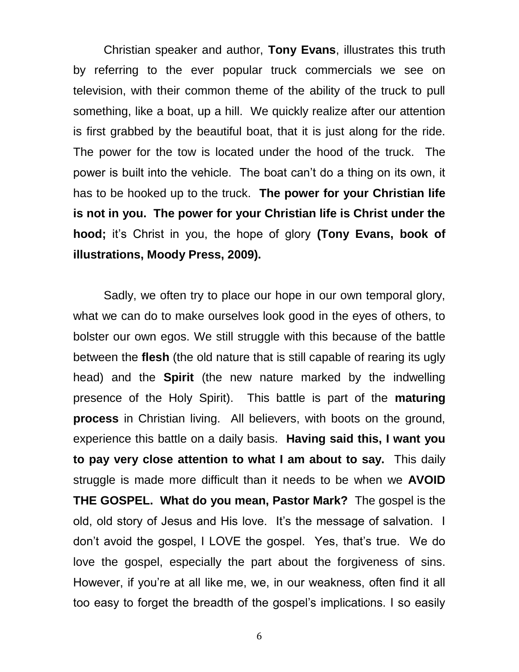Christian speaker and author, **Tony Evans**, illustrates this truth by referring to the ever popular truck commercials we see on television, with their common theme of the ability of the truck to pull something, like a boat, up a hill. We quickly realize after our attention is first grabbed by the beautiful boat, that it is just along for the ride. The power for the tow is located under the hood of the truck. The power is built into the vehicle. The boat can't do a thing on its own, it has to be hooked up to the truck. **The power for your Christian life is not in you. The power for your Christian life is Christ under the hood;** it's Christ in you, the hope of glory **(Tony Evans, book of illustrations, Moody Press, 2009).**

Sadly, we often try to place our hope in our own temporal glory, what we can do to make ourselves look good in the eyes of others, to bolster our own egos. We still struggle with this because of the battle between the **flesh** (the old nature that is still capable of rearing its ugly head) and the **Spirit** (the new nature marked by the indwelling presence of the Holy Spirit). This battle is part of the **maturing process** in Christian living. All believers, with boots on the ground, experience this battle on a daily basis. **Having said this, I want you to pay very close attention to what I am about to say.** This daily struggle is made more difficult than it needs to be when we **AVOID THE GOSPEL. What do you mean, Pastor Mark?** The gospel is the old, old story of Jesus and His love. It's the message of salvation. I don't avoid the gospel, I LOVE the gospel. Yes, that's true. We do love the gospel, especially the part about the forgiveness of sins. However, if you're at all like me, we, in our weakness, often find it all too easy to forget the breadth of the gospel's implications. I so easily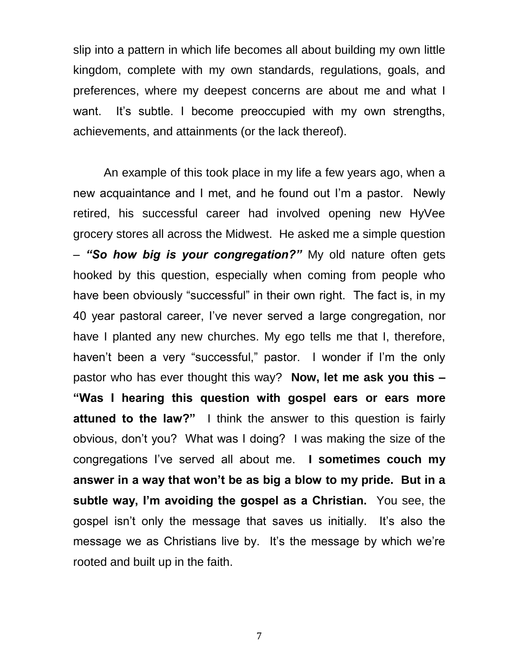slip into a pattern in which life becomes all about building my own little kingdom, complete with my own standards, regulations, goals, and preferences, where my deepest concerns are about me and what I want. It's subtle. I become preoccupied with my own strengths, achievements, and attainments (or the lack thereof).

An example of this took place in my life a few years ago, when a new acquaintance and I met, and he found out I'm a pastor. Newly retired, his successful career had involved opening new HyVee grocery stores all across the Midwest. He asked me a simple question – *"So how big is your congregation?"* My old nature often gets hooked by this question, especially when coming from people who have been obviously "successful" in their own right. The fact is, in my 40 year pastoral career, I've never served a large congregation, nor have I planted any new churches. My ego tells me that I, therefore, haven't been a very "successful," pastor. I wonder if I'm the only pastor who has ever thought this way? **Now, let me ask you this – "Was I hearing this question with gospel ears or ears more attuned to the law?"** I think the answer to this question is fairly obvious, don't you? What was I doing? I was making the size of the congregations I've served all about me. **I sometimes couch my answer in a way that won't be as big a blow to my pride. But in a subtle way, I'm avoiding the gospel as a Christian.** You see, the gospel isn't only the message that saves us initially. It's also the message we as Christians live by. It's the message by which we're rooted and built up in the faith.